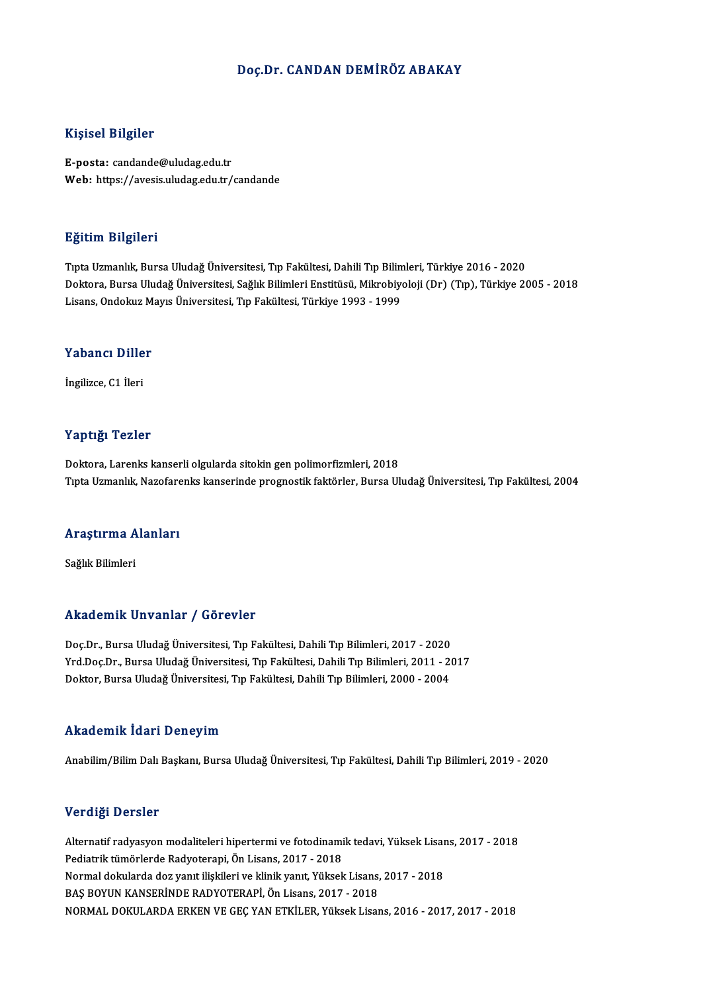### Doç.Dr. CANDAN DEMİRÖZ ABAKAY

### Kişisel Bilgiler

E-posta: candande@uludag.edu.tr Web: https://avesis.uludag.edu.tr/candande

### Eğitim Bilgileri

TıptaUzmanlık,BursaUludağÜniversitesi,Tıp Fakültesi,DahiliTıpBilimleri,Türkiye 2016 -2020 Doktora, Bursa Uludağ Üniversitesi, Sağlık Bilimleri Enstitüsü, Mikrobiyoloji (Dr) (Tıp), Türkiye 2005 - 2018 Lisans, Ondokuz Mayıs Üniversitesi, Tıp Fakültesi, Türkiye 1993 - 1999

# <sub>Lisans, опаскиz м</sub><br>Yabancı Diller Y<mark>abancı Dille</mark><br>İngilizce, C1 İleri

# İngilizce, C1 İleri<br>Yaptığı Tezler

Doktora, Larenks kanserli olgularda sitokin gen polimorfizmleri, 2018 Tıpta Uzmanlık, Nazofarenks kanserinde prognostik faktörler, Bursa Uludağ Üniversitesi, Tıp Fakültesi, 2004

# rıpla ozmanlık, Nazolare<br>Araştırma Alanları <mark>Araştırma A</mark><br>Sağlık Bilimleri

# Akademik Unvanlar / Görevler

Doç.Dr., Bursa Uludağ Üniversitesi, Tıp Fakültesi, Dahili Tıp Bilimleri, 2017 - 2020 Yrkuu Chrik Onvunlur ", "u Orevici"<br>Doç.Dr., Bursa Uludağ Üniversitesi, Tıp Fakültesi, Dahili Tıp Bilimleri, 2017 - 2020<br>Yrd.Doç.Dr., Bursa Uludağ Üniversitesi, Tıp Fakültesi, Dahili Tıp Bilimleri, 2011 - 2017<br>Daktar, Burs Doç.Dr., Bursa Uludağ Üniversitesi, Tıp Fakültesi, Dahili Tıp Bilimleri, 2017 - 2020<br>Yrd.Doç.Dr., Bursa Uludağ Üniversitesi, Tıp Fakültesi, Dahili Tıp Bilimleri, 2011 - 2<br>Doktor, Bursa Uludağ Üniversitesi, Tıp Fakültesi, D Doktor, Bursa Uludağ Üniversitesi, Tıp Fakültesi, Dahili Tıp Bilimleri, 2000 - 2004<br>Akademik İdari Deneyim

Anabilim/Bilim Dalı Başkanı, Bursa Uludağ Üniversitesi, Tıp Fakültesi, Dahili Tıp Bilimleri, 2019 - 2020

### Verdiği Dersler

Verdiği Dersler<br>Alternatif radyasyon modaliteleri hipertermi ve fotodinamik tedavi, Yüksek Lisans, 2017 - 2018<br>Redistrik tümörlerde Redystereni, Ön Lisans, 2017, 12018 ver arg.<br>Alternatif radyasyon modaliteleri hipertermi ve fotodinami<br>Pediatrik tümörlerde Radyoterapi, Ön Lisans, 2017 - 2018<br>Narmal deltularda dez yanıt ilialdığı ve klipik yanıt. Völceli Alternatif radyasyon modaliteleri hipertermi ve fotodinamik tedavi, Yüksek Lisar<br>Pediatrik tümörlerde Radyoterapi, Ön Lisans, 2017 - 2018<br>Normal dokularda doz yanıt ilişkileri ve klinik yanıt, Yüksek Lisans, 2017 - 2018<br>BA Pediatrik tümörlerde Radyoterapi, Ön Lisans, 2017 - 2018<br>Normal dokularda doz yanıt ilişkileri ve klinik yanıt, Yüksek Lisans, 2017 - 2018<br>BAŞ BOYUN KANSERİNDE RADYOTERAPİ, Ön Lisans, 2017 - 2018 NORMALDOKULARDAERKENVEGEÇYANETKİLER,YüksekLisans,2016 -2017,2017 -2018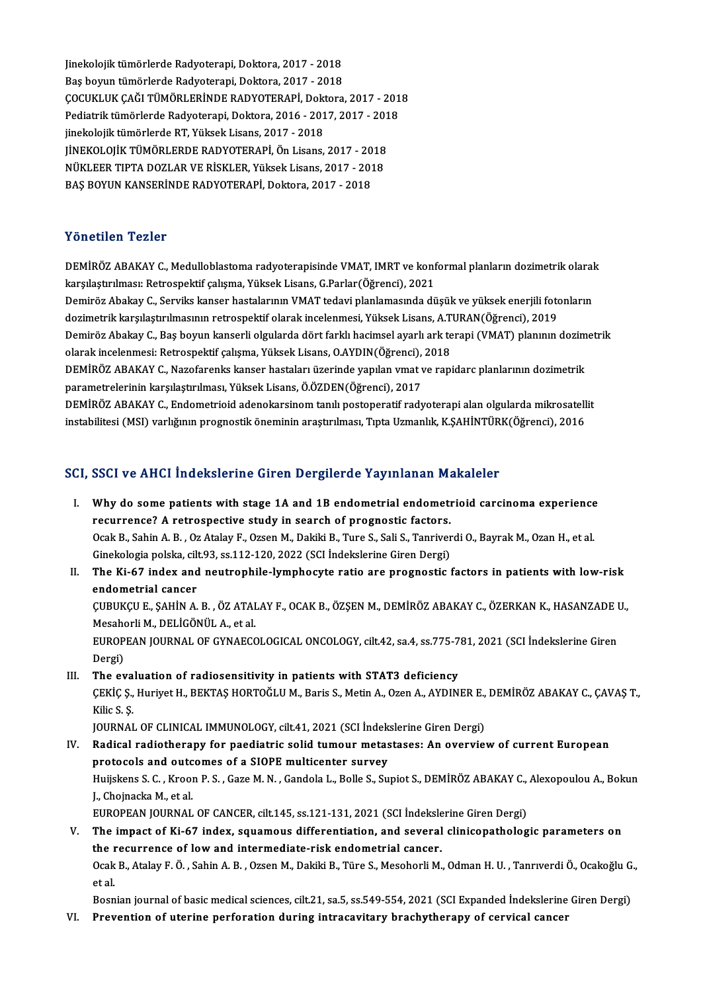Jinekolojik tümörlerde Radyoterapi, Doktora, 2017 - 2018<br>Pes boyun tümörlerde Radyoterapi, Doktora, 2017 - 2018 Jinekolojik tümörlerde Radyoterapi, Doktora, 2017 - 2018<br>Baş boyun tümörlerde Radyoterapi, Doktora, 2017 - 2018<br>COCUKLUK CAĞLTÜMÖRLERİNDE RADYOTERARİ, Dektora Jinekolojik tümörlerde Radyoterapi, Doktora, 2017 - 2018<br>Baş boyun tümörlerde Radyoterapi, Doktora, 2017 - 2018<br>ÇOCUKLUK ÇAĞI TÜMÖRLERİNDE RADYOTERAPİ, Doktora, 2017 - 2018<br>Pediatrik tümörlerde Pedyoterapi, Doktora, 2016 -Baş boyun tümörlerde Radyoterapi, Doktora, 2017 - 2018<br>ÇOCUKLUK ÇAĞI TÜMÖRLERİNDE RADYOTERAPİ, Doktora, 2017 - 201<br>Pediatrik tümörlerde Radyoterapi, Doktora, 2016 - 2017, 2017 - 2018<br>iinekeleiji: tümörlerde BT, Vükael: Lis ÇOCUKLUK ÇAĞI TÜMÖRLERİNDE RADYOTERAPİ, Dokt<br>Pediatrik tümörlerde Radyoterapi, Doktora, 2016 - 201<br>jinekolojik tümörlerde RT, Yüksek Lisans, 2017 - 2018<br>UNEKOLOUK TÜMÖRLERDE RADYOTERARİ, Ön Lisans Pediatrik tümörlerde Radyoterapi, Doktora, 2016 - 2017, 2017 - 201<br>jinekolojik tümörlerde RT, Yüksek Lisans, 2017 - 2018<br>JİNEKOLOJİK TÜMÖRLERDE RADYOTERAPİ, Ön Lisans, 2017 - 2018<br>NÜKLEER TIPTA DOZLAR VE RİSKLER, Yüksek Li jinekolojik tümörlerde RT, Yüksek Lisans, 2017 - 2018<br>JİNEKOLOJİK TÜMÖRLERDE RADYOTERAPİ, Ön Lisans, 2017 - 2018<br>NÜKLEER TIPTA DOZLAR VE RİSKLER, Yüksek Lisans, 2017 - 2018<br>PAS POYUN KANSERİNDE PADYOTERARİ, Dektora 2017 - JİNEKOLOJİK TÜMÖRLERDE RADYOTERAPİ, Ön Lisans, 2017 - 20<br>NÜKLEER TIPTA DOZLAR VE RİSKLER, Yüksek Lisans, 2017 - 201<br>BAŞ BOYUN KANSERİNDE RADYOTERAPİ, Doktora, 2017 - 2018 BAŞ BOYUN KANSERİNDE RADYOTERAPİ, Doktora, 2017 - 2018<br>Yönetilen Tezler

Yönetilen Tezler<br>DEMİRÖZ ABAKAY C., Medulloblastoma radyoterapisinde VMAT, IMRT ve konformal planların dozimetrik olarak<br>konskatınılması: Petrespektif sekame Yüksek Lisens G Perler(Öğrensi), 2021 k sinserisir il sinsi<br>DEMİRÖZ ABAKAY C., Medulloblastoma radyoterapisinde VMAT, IMRT ve konf<br>karşılaştırılması: Retrospektif çalışma, Yüksek Lisans, G.Parlar(Öğrenci), 2021<br>Deminëz Abelrav G. Servilis kanser bestekarının V DEMİRÖZ ABAKAY C., Medulloblastoma radyoterapisinde VMAT, IMRT ve konformal planların dozimetrik olaral<br>karşılaştırılması: Retrospektif çalışma, Yüksek Lisans, G.Parlar(Öğrenci), 2021<br>Demiröz Abakay C., Serviks kanser hast

karşılaştırılması: Retrospektif çalışma, Yüksek Lisans, G.Parlar(Öğrenci), 2021<br>Demiröz Abakay C., Serviks kanser hastalarının VMAT tedavi planlamasında düşük ve yüksek enerjili fotonların<br>dozimetrik karşılaştırılmasının r Demiröz Abakay C., Serviks kanser hastalarının VMAT tedavi planlamasında düşük ve yüksek enerjili fotonların<br>dozimetrik karşılaştırılmasının retrospektif olarak incelenmesi, Yüksek Lisans, A.TURAN(Öğrenci), 2019<br>Demiröz Ab dozimetrik karşılaştırılmasının retrospektif olarak incelenmesi, Yüksek Lisans, A.T<br>Demiröz Abakay C., Baş boyun kanserli olgularda dört farklı hacimsel ayarlı ark te<br>olarak incelenmesi: Retrospektif çalışma, Yüksek Lisans Demiröz Abakay C., Baş boyun kanserli olgularda dört farklı hacimsel ayarlı ark terapi (VMAT) planının dozim<br>olarak incelenmesi: Retrospektif çalışma, Yüksek Lisans, O.AYDIN(Öğrenci), 2018<br>DEMİRÖZ ABAKAY C., Nazofarenks ka

olarak incelenmesi: Retrospektif çalışma, Yüksek Lisans, O.AYDIN(Öğrenci),<br>DEMİRÖZ ABAKAY C., Nazofarenks kanser hastaları üzerinde yapılan vmat v<br>parametrelerinin karşılaştırılması, Yüksek Lisans, Ö.ÖZDEN(Öğrenci), 2017<br>D DEMİRÖZ ABAKAY C., Nazofarenks kanser hastaları üzerinde yapılan vmat ve rapidarc planlarının dozimetrik<br>parametrelerinin karşılaştırılması, Yüksek Lisans, Ö.ÖZDEN(Öğrenci), 2017<br>DEMİRÖZ ABAKAY C., Endometrioid adenokarsin

parametrelerinin karşılaştırılması, Yüksek Lisans, Ö.ÖZDEN(Öğrenci), 2017<br>DEMİRÖZ ABAKAY C., Endometrioid adenokarsinom tanılı postoperatif radyoterapi alan olgularda mikrosatell<br>instabilitesi (MSI) varlığının prognostik ö instabilitesi (MSI) varlığının prognostik öneminin araştırılması, Tıpta Uzmanlık, K.ŞAHİNTÜRK(Öğrenci), 2016<br>SCI, SSCI ve AHCI İndekslerine Giren Dergilerde Yayınlanan Makaleler

- CI, SSCI ve AHCI Indekslerine Giren Dergilerde Yayınlanan Makaleler<br>I. Why do some patients with stage 1A and 1B endometrial endometrioid carcinoma experience<br>Regumence? A retrospective study in search of pregnestic factor recurrence? A retrospective study in search of prognostic factors.<br>The currence? A retrospective study in search of prognostic factors.<br>Cask B, Sobin A, B, Or Atalay E, Organ M, Dakili B, Tyre S, Soli S, Tennivor Why do some patients with stage 1A and 1B endometrial endometrioid carcinoma experience<br>recurrence? A retrospective study in search of prognostic factors.<br>Ocak B., Sahin A. B. , Oz Atalay F., Ozsen M., Dakiki B., Ture S., recurrence? A retrospective study in search of prognostic factors.<br>Ocak B., Sahin A. B. , Oz Atalay F., Ozsen M., Dakiki B., Ture S., Sali S., Tanriver<br>Ginekologia polska, cilt.93, ss.112-120, 2022 (SCI İndekslerine Giren Ocak B., Sahin A. B. , Oz Atalay F., Ozsen M., Dakiki B., Ture S., Sali S., Tanriverdi O., Bayrak M., Ozan H., et al.<br>Ginekologia polska, cilt.93, ss.112-120, 2022 (SCI indekslerine Giren Dergi)<br>II. The Ki-67 index and neu
- Ginekologia polska, cili<br>The Ki-67 index and<br>endometrial cancer<br>CUPUKCU E SAHINA The Ki-67 index and neutrophile-lymphocyte ratio are prognostic factors in patients with low-risk<br>endometrial cancer<br>ÇUBUKÇU E., ŞAHİN A. B. , ÖZ ATALAY F., OCAK B., ÖZŞEN M., DEMİRÖZ ABAKAY C., ÖZERKAN K., HASANZADE U.,<br>M

endometrial cancer<br>ÇUBUKÇU E., ŞAHİN A. B. , ÖZ ATAI<br>Mesahorli M., DELİGÖNÜL A., et al.<br>EUBOBEAN JOUBNAL OE CYNAECC ÇUBUKÇU E., ŞAHİN A. B. , ÖZ ATALAY F., OCAK B., ÖZŞEN M., DEMİRÖZ ABAKAY C., ÖZERKAN K., HASANZADE I<br>Mesahorli M., DELİGÖNÜL A., et al.<br>EUROPEAN JOURNAL OF GYNAECOLOGICAL ONCOLOGY, cilt.42, sa.4, ss.775-781, 2021 (SCI İnd

Mesahorli M., DELİGÖNÜL A., et al.<br>EUROPEAN JOURNAL OF GYNAECOLOGICAL ONCOLOGY, cilt.42, sa.4, ss.775-781, 2021 (SCI İndekslerine Giren<br>Dergi) EUROPEAN JOURNAL OF GYNAECOLOGICAL ONCOLOGY, cilt42, sa.4, ss.775-7<br>Dergi)<br>III. The evaluation of radiosensitivity in patients with STAT3 deficiency<br>CEVIC S. Huriyot H. REVTAS HORTOČLUM, Paris S. Matin A. Oran A. AVDINI

ÇEKİÇ Ş., Huriyet H., BEKTAŞ HORTOĞLU M., Baris S., Metin A., Ozen A., AYDINER E., DEMİRÖZ ABAKAY C., ÇAVAŞ T.,<br>Kilic S. S. The eva<br>ÇEKİÇ Ş.,<br>Kilic S. Ş.<br>JOUPNAJ ÇEKİÇ Ş., Huriyet H., BEKTAŞ HORTOĞLU M., Baris S., Metin A., Ozen A., AYDINER E.,<br>Kilic S. Ş.<br>JOURNAL OF CLINICAL IMMUNOLOGY, cilt.41, 2021 (SCI İndekslerine Giren Dergi)<br>Padisal radiatherany for naqdiatris selid tumeur m

- IV. Radical radiotherapy for paediatric solid tumour metastases: An overviewof current European JOURNAL OF CLINICAL IMMUNOLOGY, cilt.41, 2021 (SCI İndek<br>Radical radiotherapy for paediatric solid tumour metas<br>protocols and outcomes of a SIOPE multicenter survey<br>Hujiskans S.C., Kroan B.S., Care M.N., Candala L. Balla S Radical radiotherapy for paediatric solid tumour metastases: An overview of current European<br>protocols and outcomes of a SIOPE multicenter survey<br>Huijskens S. C. , Kroon P. S. , Gaze M. N. , Gandola L., Bolle S., Supiot S. **protocols and outc<br>Huijskens S. C. , Krool<br>J., Chojnacka M., et al.<br>EUROPEAN JOUPMAL** Huijskens S. C. , Kroon P. S. , Gaze M. N. , Gandola L., Bolle S., Supiot S., DEMİRÖZ ABAKAY C.,<br>J., Chojnacka M., et al.<br>EUROPEAN JOURNAL OF CANCER, cilt.145, ss.121-131, 2021 (SCI İndekslerine Giren Dergi)<br>The impact of J., Chojnacka M., et al.<br>EUROPEAN JOURNAL OF CANCER, cilt.145, ss.121-131, 2021 (SCI İndekslerine Giren Dergi)<br>V. The impact of Ki-67 index, squamous differentiation, and several clinicopathologic parameters on<br>the recurre
- EUROPEAN JOURNAL OF CANCER, cilt.145, ss.121-131, 2021 (SCI Indeksle<br>The impact of Ki-67 index, squamous differentiation, and several<br>the recurrence of low and intermediate-risk endometrial cancer.<br>Qaak B. Atalay E.Ö., Sob The impact of Ki-67 index, squamous differentiation, and several clinicopathologic parameters on<br>the recurrence of low and intermediate-risk endometrial cancer.<br>Ocak B., Atalay F. Ö. , Sahin A. B. , Ozsen M., Dakiki B., Tü the recurrence of low and intermediate-risk endometrial cancer.<br>Ocak B., Atalay F. Ö. , Sahin A. B. , Ozsen M., Dakiki B., Türe S., Mesohorli M., Odman H. U. , Tanrıverdi Ö., Ocakoğlu G.,<br>et al. Ocak B., Atalay F. Ö. , Sahin A. B. , Ozsen M., Dakiki B., Türe S., Mesohorli M., Odman H. U. , Tanrıverdi Ö., Ocakoğlu G<br>et al.<br>Bosnian journal of basic medical sciences, cilt.21, sa.5, ss.549-554, 2021 (SCI Expanded İnde et al.<br>Bosnian journal of basic medical sciences, cilt.21, sa.5, ss.549-554, 2021 (SCI Expanded İndekslerine<br>VI. Prevention of uterine perforation during intracavitary brachytherapy of cervical cancer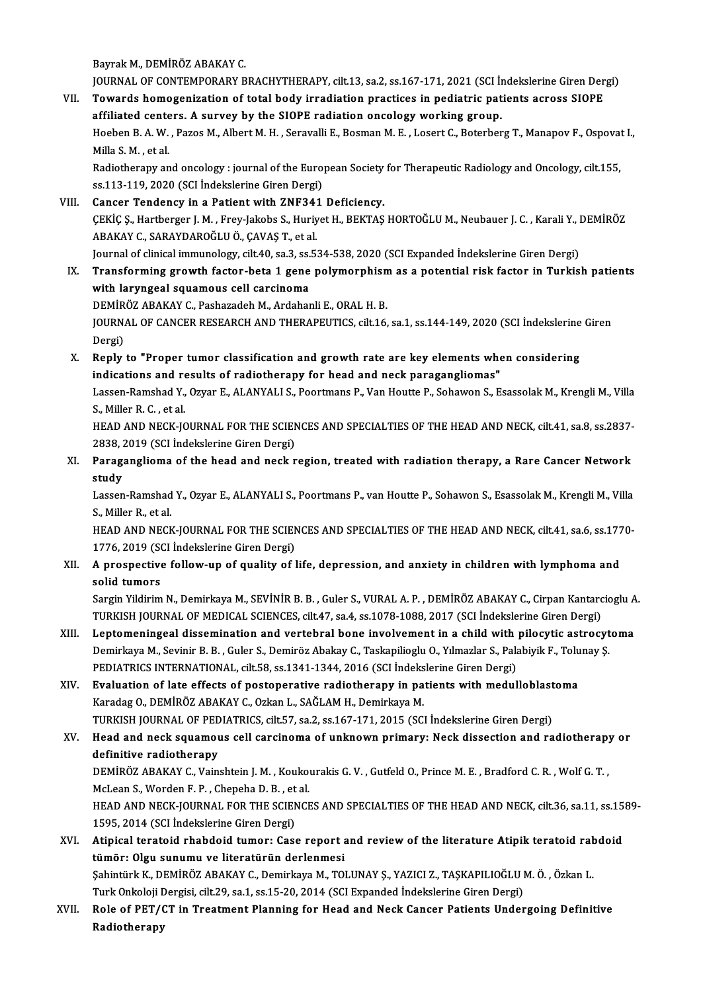BayrakM.,DEMİRÖZABAKAYC.

Bayrak M., DEMİRÖZ ABAKAY C.<br>JOURNAL OF CONTEMPORARY BRACHYTHERAPY, cilt.13, sa.2, ss.167-171, 2021 (SCI İndekslerine Giren Dergi)<br>Tewards hamaganisation of tatal hady innediation practises in podiatris patients aspess SJO

Bayrak M., DEMIRÖZ ABAKAY C.<br>JOURNAL OF CONTEMPORARY BRACHYTHERAPY, cilt.13, sa.2, ss.167-171, 2021 (SCI Indekslerine Giren Der<br>VII. Towards homogenization of total body irradiation practices in pediatric patients across S JOURNAL OF CONTEMPORARY BRACHYTHERAPY, cilt.13, sa.2, ss.167-171, 2021 (SCI In<br>Towards homogenization of total body irradiation practices in pediatric pat<br>affiliated centers. A survey by the SIOPE radiation oncology workin Towards homogenization of total body irradiation practices in pediatric patients across SIOPE<br>affiliated centers. A survey by the SIOPE radiation oncology working group.<br>Hoeben B. A. W. , Pazos M., Albert M. H. , Seravalli affiliated cente<br>Hoeben B. A. W.<br>Milla S. M. , et al.<br>Padiatherany an Hoeben B. A. W. , Pazos M., Albert M. H. , Seravalli E., Bosman M. E. , Losert C., Boterberg T., Manapov F., Ospovat<br>Milla S. M. , et al.<br>Radiotherapy and oncology : journal of the European Society for Therapeutic Radiolog

Milla S. M. , et al.<br>Radiotherapy and oncology : journal of the Euro<br>ss.113-119, 2020 (SCI İndekslerine Giren Dergi)<br>Canger Tandengy in a Patient with ZNE241 Radiotherapy and oncology : journal of the European Society<br>ss.113-119, 2020 (SCI Indekslerine Giren Dergi)<br>VIII. Cancer Tendency in a Patient with ZNF341 Deficiency.<br>CEVICS Hartberger J.M. Frou Jakobs S. Huriyet H. BEVTAS

- Ss.113-119, 2020 (SCI İndekslerine Giren Dergi)<br>Cancer Tendency in a Patient with ZNF341 Deficiency.<br>ÇEKİÇ Ş., Hartberger J. M. , Frey-Jakobs S., Huriyet H., BEKTAŞ HORTOĞLU M., Neubauer J. C. , Karali Y., DEMİRÖZ<br>ARAKAY G Cancer Tendency in a Patient with ZNF34:<br>ÇEKİÇ Ş., Hartberger J. M. , Frey-Jakobs S., Huriy<br>ABAKAY C., SARAYDAROĞLU Ö., ÇAVAŞ T., et al.<br>Journal of clinical immunalogu, cilt 40, co 3, ce 5; ÇEKİÇ Ş., Hartberger J. M. , Frey-Jakobs S., Huriyet H., BEKTAŞ HORTOĞLU M., Neubauer J. C. , Karali Y., I<br>ABAKAY C., SARAYDAROĞLU Ö., ÇAVAŞ T., et al.<br>Journal of clinical immunology, cilt.40, sa.3, ss.534-538, 2020 (SCI E ABAKAY C., SARAYDAROĞLU Ö., ÇAVAŞ T., et al.<br>Journal of clinical immunology, cilt.40, sa.3, ss.534-538, 2020 (SCI Expanded İndekslerine Giren Dergi)<br>IX. Transforming growth factor-beta 1 gene polymorphism as a potentia
- with laryngeal squamous cell carcinoma DEMİRÖZ ABAKAY C., Pashazadeh M., Ardahanli E., ORAL H. B. with laryngeal squamous cell carcinoma<br>DEMİRÖZ ABAKAY C., Pashazadeh M., Ardahanli E., ORAL H. B.<br>JOURNAL OF CANCER RESEARCH AND THERAPEUTICS, cilt.16, sa.1, ss.144-149, 2020 (SCI İndekslerine Giren<br>Persi) DEMIR<br>JOURN<br>Dergi)<br>Perly JOURNAL OF CANCER RESEARCH AND THERAPEUTICS, cilt.16, sa.1, ss.144-149, 2020 (SCI indekslerine<br>Dergi)<br>X. Reply to "Proper tumor classification and growth rate are key elements when considering<br>indications and negults of re
- Dergi)<br>Reply to "Proper tumor classification and growth rate are key elements whe<br>indications and results of radiotherapy for head and neck paragangliomas"<br>Lassen Bamshad Y. Ower E. ALANYALLS, Boortmans B. Van Hautte B. Sc Reply to "Proper tumor classification and growth rate are key elements when considering<br>indications and results of radiotherapy for head and neck paragangliomas"<br>Lassen-Ramshad Y., Ozyar E., ALANYALI S., Poortmans P., Van

indications and re<br>Lassen-Ramshad Y.,<br>S., Miller R. C. , et al.<br>HEAD AND NECK IO Lassen-Ramshad Y., Ozyar E., ALANYALI S., Poortmans P., Van Houtte P., Sohawon S., Esassolak M., Krengli M., Villa<br>S., Miller R. C. , et al.<br>HEAD AND NECK-JOURNAL FOR THE SCIENCES AND SPECIALTIES OF THE HEAD AND NECK, cilt

S., Miller R. C. , et al.<br>HEAD AND NECK-JOURNAL FOR THE SCIENCES AND SPECIALTIES OF THE HEAD AND NECK, cilt.41, sa.8, ss.2837-<br>2838, 2019 (SCI İndekslerine Giren Dergi) HEAD AND NECK-JOURNAL FOR THE SCIENCES AND SPECIALTIES OF THE HEAD AND NECK, cilt.41, sa.8, ss.2837-<br>2838, 2019 (SCI İndekslerine Giren Dergi)<br>XI. Paraganglioma of the head and neck region, treated with radiation therapy,

2838, 2<br>Parag:<br>study Paraganglioma of the head and neck region, treated with radiation therapy, a Rare Cancer Network<br>study<br>Lassen-Ramshad Y., Ozyar E., ALANYALI S., Poortmans P., van Houtte P., Sohawon S., Esassolak M., Krengli M., Villa<br>S. M

**study<br>Lassen-Ramshad<br>S., Miller R., et al.<br>HEAD AND NECK** 

S., Miller R., et al.<br>HEAD AND NECK-JOURNAL FOR THE SCIENCES AND SPECIALTIES OF THE HEAD AND NECK, cilt.41, sa.6, ss.1770-S., Miller R., et al.<br>HEAD AND NECK-JOURNAL FOR THE SCIEN<br>1776, 2019 (SCI İndekslerine Giren Dergi)<br>A prespective follow up of suality ef l

XII. A prospective follow-up of quality of life, depression, and anxiety in children with lymphoma and solid tumors 1776, 2019 (SCN)<br>A prospective<br>solid tumors<br>Sorgin Vildinim A prospective follow-up of quality of life, depression, and anxiety in children with lymphoma and<br>solid tumors<br>Sargin Yildirim N., Demirkaya M., SEVİNİR B. B. , Guler S., VURAL A. P. , DEMİRÖZ ABAKAY C., Cirpan Kantarciogl

solid tumors<br>Sargin Yildirim N., Demirkaya M., SEVİNİR B. B. , Guler S., VURAL A. P. , DEMİRÖZ ABAKAY C., Cirpan Kantarc<br>TURKISH JOURNAL OF MEDICAL SCIENCES, cilt.47, sa.4, ss.1078-1088, 2017 (SCI İndekslerine Giren Dergi) Sargin Yildirim N., Demirkaya M., SEVİNİR B. B. , Guler S., VURAL A. P. , DEMİRÖZ ABAKAY C., Cirpan Kantarcioglu A<br>TURKISH JOURNAL OF MEDICAL SCIENCES, cilt.47, sa.4, ss.1078-1088, 2017 (SCI İndekslerine Giren Dergi)<br>XIII.

- TURKISH JOURNAL OF MEDICAL SCIENCES, cilt.47, sa.4, ss.1078-1088, 2017 (SCI İndekslerine Giren Dergi)<br>Leptomeningeal dissemination and vertebral bone involvement in a child with pilocytic astrocytoma<br>Demirkaya M., Sevinir Demirkaya M., Sevinir B. B., Guler S., Demiröz Abakay C., Taskapilioglu O., Yılmazlar S., Palabiyik F., Tolunay Ş. Demirkaya M., Sevinir B. B., Guler S., Demiröz Abakay C., Taskapilioglu O., Yılmazlar S., Palabiyik F., Tolu<br>PEDIATRICS INTERNATIONAL, cilt.58, ss.1341-1344, 2016 (SCI İndekslerine Giren Dergi)<br>XIV. Evaluation of late effe
- Karadag O., DEMİRÖZ ABAKAY C., Ozkan L., SAĞLAM H., Demirkaya M. Evaluation of late effects of postoperative radiotherapy in patients with medulloblast<br>Karadag O., DEMİRÖZ ABAKAY C., Ozkan L., SAĞLAM H., Demirkaya M.<br>TURKISH JOURNAL OF PEDIATRICS, cilt.57, sa.2, ss.167-171, 2015 (SCI İn TURKISH JOURNAL OF PEDIATRICS, cilt.57, sa.2, ss.167-171, 2015 (SCI İndekslerine Giren Dergi)
- XV. Head and neck squamous cell carcinoma of unknown primary: Neck dissection and radiotherapy or definitive radiotherapy Head and neck squamous cell carcinoma of unknown primary: Neck dissection and radiotherapy<br>definitive radiotherapy<br>DEMİRÖZ ABAKAY C., Vainshtein J. M. , Koukourakis G. V. , Gutfeld O., Prince M. E. , Bradford C. R. , Wolf

definitive radiotherapy<br>DEMİRÖZ ABAKAY C., Vainshtein J. M. , Kouko<br>McLean S., Worden F. P. , Chepeha D. B. , et al.<br>HEAD AND NECK JOUPNAL FOR THE SCIENCE DEMIRÖZ ABAKAY C., Vainshtein J. M. , Koukourakis G. V. , Gutfeld O., Prince M. E. , Bradford C. R. , Wolf G. T. ,<br>McLean S., Worden F. P. , Chepeha D. B. , et al.<br>HEAD AND NECK-JOURNAL FOR THE SCIENCES AND SPECIALTIES OF

McLean S., Worden F. P. , Chepeha D. B. , et al.<br>HEAD AND NECK-JOURNAL FOR THE SCIENCES AND SPECIALTIES OF THE HEAD AND NECK, cilt.36, sa.11, ss.1589-<br>1595, 2014 (SCI İndekslerine Giren Dergi) HEAD AND NECK-JOURNAL FOR THE SCIENCES AND SPECIALTIES OF THE HEAD AND NECK, cilt.36, sa.11, ss.15<br>1595, 2014 (SCI İndekslerine Giren Dergi)<br>XVI. Atipical teratoid rhabdoid tumor: Case report and review of the literature A

1595, 2014 (SCI İndekslerine Giren Dergi)<br>Atipical teratoid rhabdoid tumor: Case report a<br>tümör: Olgu sunumu ve literatürün derlenmesi<br>Sehintürk K. DEMİRÖZ ARAKAY G. Demirkaya M. TOL Atipical teratoid rhabdoid tumor: Case report and review of the literature Atipik teratoid rah<br>tümör: Olgu sunumu ve literatürün derlenmesi<br>Şahintürk K., DEMİRÖZ ABAKAY C., Demirkaya M., TOLUNAY Ş., YAZICI Z., TAŞKAPILIOĞL tümör: Olgu sunumu ve literatürün derlenmesi<br>Şahintürk K., DEMİRÖZ ABAKAY C., Demirkaya M., TOLUNAY Ş., YAZICI Z., TAŞKAPILIOĞLU I<br>Turk Onkoloji Dergisi, cilt.29, sa.1, ss.15-20, 2014 (SCI Expanded İndekslerine Giren Dergi

Şahintürk K., DEMİRÖZ ABAKAY C., Demirkaya M., TOLUNAY Ş., YAZICI Z., TAŞKAPILIOĞLU M. Ö. , Özkan L.<br>Turk Onkoloji Dergisi, cilt.29, sa.1, ss.15-20, 2014 (SCI Expanded İndekslerine Giren Dergi)<br>XVII. Role of PET/CT in Turk Onkoloji I<br><mark>Role of PET/(</mark><br>Radiotherapy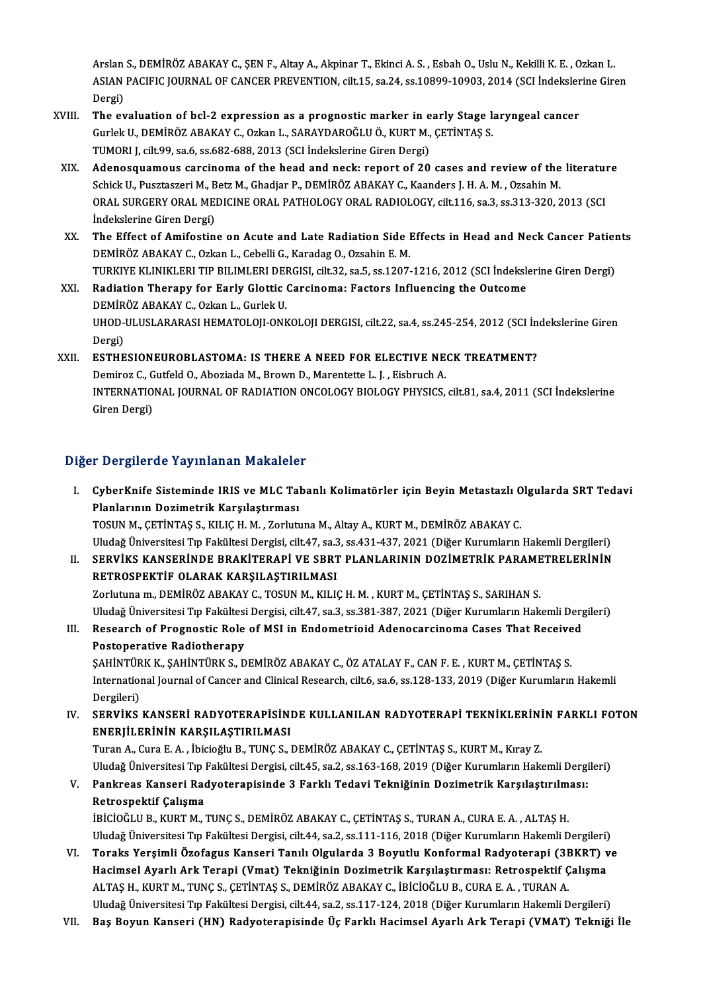Arslan S., DEMİRÖZ ABAKAY C., ŞEN F., Altay A., Akpinar T., Ekinci A. S. , Esbah O., Uslu N., Kekilli K. E. , Ozkan L.<br>ASLAN PACIELS JOUPNAL OF CANCER PREVENTION, Sİİ 15, 23, 24, 25,19809,1990,2,2014 (SSL İndekslerine Cir Arslan S., DEMİRÖZ ABAKAY C., ŞEN F., Altay A., Akpinar T., Ekinci A. S. , Esbah O., Uslu N., Kekilli K. E. , Ozkan L.<br>ASIAN PACIFIC JOURNAL OF CANCER PREVENTION, cilt.15, sa.24, ss.10899-10903, 2014 (SCI İndekslerine Gire Arslan<br>ASIAN<br>Dergi)<br>The ex ASIAN PACIFIC JOURNAL OF CANCER PREVENTION, cilt.15, sa.24, ss.10899-10903, 2014 (SCI Indeksler<br>Dergi)<br>XVIII. The evaluation of bcl-2 expression as a prognostic marker in early Stage laryngeal cancer<br>Cyriel: U. DEMIBÖZ ABA

- Dergi)<br>The evaluation of bcl-2 expression as a prognostic marker in early Stage la<br>Gurlek U., DEMİRÖZ ABAKAY C., Ozkan L., SARAYDAROĞLU Ö., KURT M., ÇETİNTAŞ S.<br>TUMORLL Gilt 99, 63 6 ss 682,698,2012 (SCL İndekslerine Giren The evaluation of bcl-2 expression as a prognostic marker in e<br>Gurlek U., DEMİRÖZ ABAKAY C., Ozkan L., SARAYDAROĞLU Ö., KURT M.,<br>TUMORI J, cilt.99, sa.6, ss.682-688, 2013 (SCI İndekslerine Giren Dergi)<br>Adapesauameus sarsin Gurlek U., DEMİRÖZ ABAKAY C., Ozkan L., SARAYDAROĞLU Ö., KURT M., ÇETİNTAŞ S.<br>TUMORI J, cilt.99, sa.6, ss.682-688, 2013 (SCI İndekslerine Giren Dergi)<br>XIX. Adenosquamous carcinoma of the head and neck: report of 20 cases a
- TUMORI J, cilt.99, sa.6, ss.682-688, 2013 (SCI İndekslerine Giren Dergi)<br>Adenosquamous carcinoma of the head and neck: report of 20 cases and review of the<br>Schick U., Pusztaszeri M., Betz M., Ghadjar P., DEMİRÖZ ABAKAY C., Adenosquamous carcinoma of the head and neck: report of 20 cases and review of the literature<br>Schick U., Pusztaszeri M., Betz M., Ghadjar P., DEMİRÖZ ABAKAY C., Kaanders J. H. A. M. , Ozsahin M.<br>ORAL SURGERY ORAL MEDICINE Schick U., Pusztaszeri M., Betz M., Ghadjar P., DEMİRÖZ ABAKAY C., Kaanders J. H. A. M. , Ozsahin M.<br>ORAL SURGERY ORAL MEDICINE ORAL PATHOLOGY ORAL RADIOLOGY, cilt.116, sa.3, ss.313-320, 2013 (SCI<br>İndekslerine Giren Dergi) ORAL SURGERY ORAL MEDICINE ORAL PATHOLOGY ORAL RADIOLOGY, cilt.116, sa.3, ss.313-320, 2013 (SCI<br>Indekslerine Giren Dergi)<br>XX. The Effect of Amifostine on Acute and Late Radiation Side Effects in Head and Neck Cancer Patien
- İndekslerine Giren Dergi)<br>The Effect of Amifostine on Acute and Late Radiation Side I<br>DEMİRÖZ ABAKAY C., Ozkan L., Cebelli G., Karadag O., Ozsahin E. M.<br>TURKIYE KI INIKLERLTIR RILIMLERLDERCISL dik 22. SR 5. SS 1207. The Effect of Amifostine on Acute and Late Radiation Side Effects in Head and Neck Cancer Patier<br>DEMİRÖZ ABAKAY C., Ozkan L., Cebelli G., Karadag O., Ozsahin E. M.<br>TURKIYE KLINIKLERI TIP BILIMLERI DERGISI, cilt.32, sa.5, s DEMIRÖZ ABAKAY C., Ozkan L., Cebelli G., Karadag O., Ozsahin E. M.<br>TURKIYE KLINIKLERI TIP BILIMLERI DERGISI, cilt.32, sa.5, ss.1207-1216, 2012 (SCI İndeksle<br>XXI. Radiation Therapy for Early Glottic Carcinoma: Factors Influ
- TURKIYE KLINIKLERI TIP BILIMLERI DEI<br>Radiation Therapy for Early Glottic<br>DEMİRÖZ ABAKAY C., Ozkan L., Gurlek U.<br>UHOD ULUSI ABARASI HEMATOLOU ONL UHOD-ULUSLARARASI HEMATOLOJI-ONKOLOJI DERGISI, cilt.22, sa.4, ss.245-254, 2012 (SCI İndekslerine Giren<br>Dergi) DEMİRÖZ ABAKAY C., Ozkan L., Gurlek U. UHOD-ULUSLARARASI HEMATOLOJI-ONKOLOJI DERGISI, cilt.22, sa.4, ss.245-254, 2012 (SCI İn<br>Dergi)<br>XXII. ESTHESIONEUROBLASTOMA: IS THERE A NEED FOR ELECTIVE NECK TREATMENT?<br>Deminer C. Cutfeld O. Aberiade M. Proum D. Marantatte

Dergi)<br>**ESTHESIONEUROBLASTOMA: IS THERE A NEED FOR ELECTIVE NE<br>Demiroz C., Gutfeld O., Aboziada M., Brown D., Marentette L. J. , Eisbruch A.<br>INTERNATIONAL JOURNAL OF RADIATION ONCOLOCY PIOLOCY PUYSICS** ESTHESIONEUROBLASTOMA: IS THERE A NEED FOR ELECTIVE NECK TREATMENT?<br>Demiroz C., Gutfeld O., Aboziada M., Brown D., Marentette L. J. , Eisbruch A.<br>INTERNATIONAL JOURNAL OF RADIATION ONCOLOGY BIOLOGY PHYSICS, cilt.81, sa.4, Demiroz C., G<br>INTERNATIO<br>Giren Dergi)

# Giren Dergi)<br>Diğer Dergilerde Yayınlanan Makaleler

- iğer Dergilerde Yayınlanan Makaleler<br>I. CyberKnife Sisteminde IRIS ve MLC Tabanlı Kolimatörler için Beyin Metastazlı Olgularda SRT Tedavi<br>Rianlarının Degimetrik Karallastırması Porgilor de Taylmandir Makarolor<br>CyberKnife Sisteminde IRIS ve MLC Tal<br>Planlarının Dozimetrik Karşılaştırması<br>TOSUN M. GETİNTAS S. KU IC H. M. Zorbit CyberKnife Sisteminde IRIS ve MLC Tabanlı Kolimatörler için Beyin Metastazlı O<br>Planlarının Dozimetrik Karşılaştırması<br>TOSUN M., ÇETİNTAŞ S., KILIÇ H. M. , Zorlutuna M., Altay A., KURT M., DEMİRÖZ ABAKAY C.<br>Uludağ Üniversit Planlarının Dozimetrik Karşılaştırması<br>TOSUN M., ÇETİNTAŞ S., KILIÇ H. M. , Zorlutuna M., Altay A., KURT M., DEMİRÖZ ABAKAY C.<br>Uludağ Üniversitesi Tıp Fakültesi Dergisi. cilt.47. sa.3. ss.431-437. 2021 (Diğer Kurumların Ha
- II. SERVİKS KANSERİNDE BRAKİTERAPİ VE SBRT PLANLARININ DOZİMETRİK PARAMETRELERİNİN RETROSPEKTİF OLARAK KARŞILAŞTIRILMASI Zorlutuna m., DEMİRÖZ ABAKAY C., TOSUN M., KILIÇ H. M., KURT M., ÇETİNTAŞ S., SARIHAN S. RETROSPEKTİF OLARAK KARŞILAŞTIRILMASI<br>Zorlutuna m., DEMİRÖZ ABAKAY C., TOSUN M., KILIÇ H. M. , KURT M., ÇETİNTAŞ S., SARIHAN S.<br>Uludağ Üniversitesi Tıp Fakültesi Dergisi, cilt.47, sa.3, ss.381-387, 2021 (Diğer Kurumların H

Zorlutuna m., DEMİRÖZ ABAKAY C., TOSUN M., KILIÇ H. M. , KURT M., ÇETİNTAŞ S., SARIHAN S.<br>Uludağ Üniversitesi Tıp Fakültesi Dergisi, cilt.47, sa.3, ss.381-387, 2021 (Diğer Kurumların Hakemli Dergital<br>III. Research of Progn Uludağ Üniversitesi Tıp Fakültesi<br>Research of Prognostic Role<br>Postoperative Radiotherapy<br>SAHİNTÜDKK SAHİNTÜDKS D Research of Prognostic Role of MSI in Endometrioid Adenocarcinoma Cases That Receive<br>Postoperative Radiotherapy<br>ŞAHİNTÜRK K., ŞAHİNTÜRK S., DEMİRÖZ ABAKAY C., ÖZ ATALAY F., CAN F. E. , KURT M., ÇETİNTAŞ S.<br>International Jo

Postoperative Radiotherapy<br>ŞAHİNTÜRK K., ŞAHİNTÜRK S., DEMİRÖZ ABAKAY C., ÖZ ATALAY F., CAN F. E. , KURT M., ÇETİNTAŞ S.<br>International Journal of Cancer and Clinical Research, cilt.6, sa.6, ss.128-133, 2019 (Diğer Kurumlar SAHİNTÜR<br>Internatiol<br>Dergileri)<br>SERVİKS

IV. SERVİKS KANSERİ RADYOTERAPİSİNDE KULLANILAN RADYOTERAPİ TEKNİKLERİNİN FARKLI FOTON ENERJİLERİNİN KARŞILAŞTIRILMASI

Turan A., Cura E. A., İbicioğlu B., TUNÇ S., DEMİRÖZ ABAKAY C., ÇETİNTAŞ S., KURT M., Kıray Z. ENERJİLERİNİN KARŞILAŞTIRILMASI<br>Turan A., Cura E. A. , İbicioğlu B., TUNÇ S., DEMİRÖZ ABAKAY C., ÇETİNTAŞ S., KURT M., Kıray Z.<br>Uludağ Üniversitesi Tıp Fakültesi Dergisi, cilt.45, sa.2, ss.163-168, 2019 (Diğer Kurumların H

# V. Pankreas Kanseri Radyoterapisinde 3 Farklı Tedavi Tekniğinin Dozimetrik Karşılaştırılması: Uludağ Üniversitesi Tıp |<br>Pankreas Kanseri Rad<br>Retrospektif Çalışma<br>!Þicioč! !! Þ. KUPT M

İBİCİOĞLU B., KURT M., TUNÇ S., DEMİRÖZ ABAKAY C., ÇETİNTAŞ S., TURAN A., CURA E. A., ALTAŞ H. Uludağ Üniversitesi Tıp Fakültesi Dergisi, cilt.44, sa.2, ss.111-116, 2018 (Diğer Kurumların Hakemli Dergileri) IBICIOĞLU B., KURT M., TUNÇ S., DEMIRÖZ ABAKAY C., ÇETİNTAŞ S., TURAN A., CURA E. A. , ALTAŞ H.<br>Uludağ Üniversitesi Tıp Fakültesi Dergisi, cilt.44, sa.2, ss.111-116, 2018 (Diğer Kurumların Hakemli Dergileri)<br>VI. Toraks Yer

- Uludağ Üniversitesi Tıp Fakültesi Dergisi, cilt.44, sa.2, ss.111-116, 2018 (Diğer Kurumların Hakemli Dergileri)<br>Toraks Yerşimli Özofagus Kanseri Tanılı Olgularda 3 Boyutlu Konformal Radyoterapi (3BKRT) v<br>Hacimsel Ayarlı Ar Hacimsel Ayarlı Ark Terapi (Vmat) Tekniğinin Dozimetrik Karşılaştırması: Retrospektif Çalışma<br>ALTAŞ H., KURT M., TUNÇ S., ÇETİNTAŞ S., DEMİRÖZ ABAKAY C., İBİCİOĞLU B., CURA E. A. , TURAN A. Uludağ Üniversitesi Tıp Fakültesi Dergisi, cilt.44, sa.2, ss.117-124, 2018 (Diğer Kurumların Hakemli Dergileri)
- VII. Baş Boyun Kanseri (HN) Radyoterapisinde Üç Farklı Hacimsel Ayarlı Ark Terapi (VMAT) Tekniği İle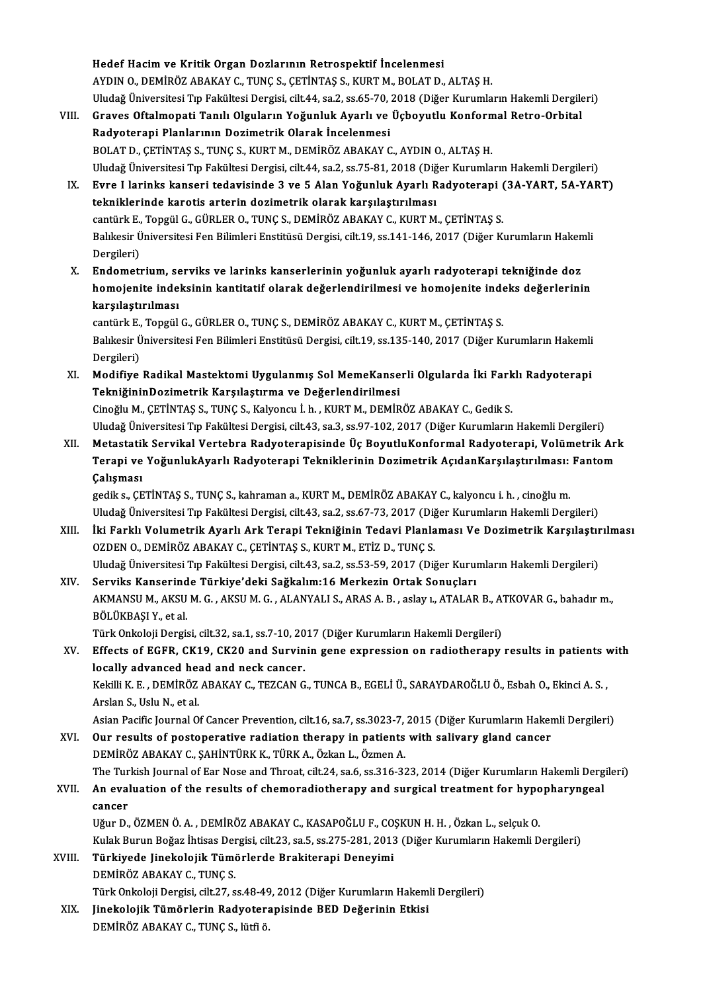Hedef Hacimve Kritik Organ Dozlarının Retrospektif İncelenmesi AYDIN O., DEMİRÖZ ABAKAY C., TUNÇ S., ÇETİNTAŞ S., KURT M., BOLAT D., ALTAŞ H. Hedef Hacim ve Kritik Organ Dozlarının Retrospektif İncelenmesi<br>AYDIN O., DEMİRÖZ ABAKAY C., TUNÇ S., ÇETİNTAŞ S., KURT M., BOLAT D., ALTAŞ H.<br>Uludağ Üniversitesi Tıp Fakültesi Dergisi, cilt.44, sa.2, ss.65-70, 2018 (Diğer

- VIII. Graves Oftalmopati Tanılı Olguların Yoğunluk Ayarlı ve Üçboyutlu Konformal Retro-Orbital<br>Radyoterapi Planlarının Dozimetrik Olarak İncelenmesi Uludağ Üniversitesi Tıp Fakültesi Dergisi, cilt.44, sa.2, ss.65-70, .<br>Graves Oftalmopati Tanılı Olguların Yoğunluk Ayarlı ve<br>Radyoterapi Planlarının Dozimetrik Olarak İncelenmesi<br>POLAT D. GETİNTAS S. TUNG S. KURT M. DEMİPÖ BOLAT D., ÇETİNTAŞ S., TUNÇ S., KURT M., DEMİRÖZ ABAKAY C., AYDIN O., ALTAŞ H. Radyoterapi Planlarının Dozimetrik Olarak İncelenmesi<br>BOLAT D., ÇETİNTAŞ S., TUNÇ S., KURT M., DEMİRÖZ ABAKAY C., AYDIN O., ALTAŞ H.<br>Uludağ Üniversitesi Tıp Fakültesi Dergisi, cilt.44, sa.2, ss.75-81, 2018 (Diğer Kurumları
	- IX. Evre I larinks kanseri tedavisinde 3 ve 5 Alan Yoğunluk Ayarlı Radyoterapi (3A-YART, 5A-YART) Uludağ Üniversitesi Tıp Fakültesi Dergisi, cilt.44, sa.2, ss.75-81, 2018 (Diğ<br>Evre I larinks kanseri tedavisinde 3 ve 5 Alan Yoğunluk Ayarlı R<br>tekniklerinde karotis arterin dozimetrik olarak karşılaştırılması<br>səntürk E. Te Evre I larinks kanseri tedavisinde 3 ve 5 Alan Yoğunluk Ayarlı Radyoterapi (<br>tekniklerinde karotis arterin dozimetrik olarak karşılaştırılması<br>cantürk E., Topgül G., GÜRLER O., TUNÇ S., DEMİRÖZ ABAKAY C., KURT M., ÇETİNTAŞ Balıkesir Üniversitesi Fen Bilimleri Enstitüsü Dergisi, cilt.19, ss.141-146, 2017 (Diğer Kurumların Hakemli Dergileri) cantürk E.,<br>Balıkesir Ü<br>Dergileri)<br>Endomoti
	- X. Endometrium, serviks ve larinks kanserlerinin yoğunluk ayarlı radyoterapi tekniğinde doz Dergileri)<br>Endometrium, serviks ve larinks kanserlerinin yoğunluk ayarlı radyoterapi tekniğinde doz<br>homojenite indeksinin kantitatif olarak değerlendirilmesi ve homojenite indeks değerlerinin<br>karsılastırılması Endometrium, se<br>homojenite inde<br>karşılaştırılması<br>cantürk E. Tongül homojenite indeksinin kantitatif olarak değerlendirilmesi ve homojenite inde<br>karşılaştırılması<br>cantürk E., Topgül G., GÜRLER O., TUNÇ S., DEMİRÖZ ABAKAY C., KURT M., ÇETİNTAŞ S.<br>Polikesir Üniversitesi Een Bilimleri Enstitü

karşılaştırılması<br>cantürk E., Topgül G., GÜRLER O., TUNÇ S., DEMİRÖZ ABAKAY C., KURT M., ÇETİNTAŞ S.<br>Balıkesir Üniversitesi Fen Bilimleri Enstitüsü Dergisi, cilt.19, ss.135-140, 2017 (Diğer Kurumların Hakemli<br>Dergileri) cantürk E., Topgül G., GÜRLER O., TUNÇ S., DEMİRÖZ ABAKAY C., KURT M., ÇETİNTAŞ S. Balıkesir Üniversitesi Fen Bilimleri Enstitüsü Dergisi, cilt.19, ss.135-140, 2017 (Diğer Kurumların Hakemli<br>Dergileri)<br>XI. Modifiye Radikal Mastektomi Uygulanmış Sol MemeKanserli Olgularda İki Farklı Radyoterapi

- Dergileri)<br>Modifiye Radikal Mastektomi Uygulanmış Sol MemeKanse<br>TekniğininDozimetrik Karşılaştırma ve Değerlendirilmesi<br>Gineğlu M. GETİNTAS S. TUNG S. Kakıonay İ. b. KUPT M. DEMİD Modifiye Radikal Mastektomi Uygulanmış Sol MemeKanserli Olgularda İki Fark<br>TekniğininDozimetrik Karşılaştırma ve Değerlendirilmesi<br>Cinoğlu M., ÇETİNTAŞ S., TUNÇ S., Kalyoncu İ. h. , KURT M., DEMİRÖZ ABAKAY C., Gedik S.<br>Ulu TekniğininDozimetrik Karşılaştırma ve Değerlendirilmesi<br>Cinoğlu M., ÇETİNTAŞ S., TUNÇ S., Kalyoncu İ. h. , KURT M., DEMİRÖZ ABAKAY C., Gedik S.<br>Uludağ Üniversitesi Tıp Fakültesi Dergisi, cilt.43, sa.3, ss.97-102, 2017 (Diğ Cinoğlu M., ÇETİNTAŞ S., TUNÇ S., Kalyoncu İ. h. , KURT M., DEMİRÖZ ABAKAY C., Gedik S.<br>Uludağ Üniversitesi Tıp Fakültesi Dergisi, cilt.43, sa.3, ss.97-102, 2017 (Diğer Kurumların Hakemli Dergileri)<br>XII. Metastatik Servika
- Uludağ Üniversitesi Tıp Fakültesi Dergisi, cilt.43, sa.3, ss.97-102, 2017 (Diğer Kurumların Hakemli Dergileri)<br>Metastatik Servikal Vertebra Radyoterapisinde Üç BoyutluKonformal Radyoterapi, Volümetrik Arl<br>Terapi ve Yoğunlu Metastatil<br>Terapi ve<br>Çalışması<br>gediks CE Terapi ve YoğunlukAyarlı Radyoterapi Tekniklerinin Dozimetrik AçıdanKarşılaştırılması: Fantom<br>Çalışması<br>gedik s., ÇETİNTAŞ S., TUNÇ S., kahraman a., KURT M., DEMİRÖZ ABAKAY C., kalyoncu i. h. , cinoğlu m.

Uludağ Üniversitesi Tıp Fakültesi Dergisi, cilt.43, sa.2, ss.67-73, 2017 (Diğer Kurumların Hakemli Dergileri) gedik s., ÇETİNTAŞ S., TUNÇ S., kahraman a., KURT M., DEMİRÖZ ABAKAY C., kalyoncu i. h. , cinoğlu m.<br>Uludağ Üniversitesi Tıp Fakültesi Dergisi, cilt.43, sa.2, ss.67-73, 2017 (Diğer Kurumların Hakemli Dergileri)<br>XIII. İki F

- OZDEN O., DEMİRÖZ ABAKAY C., ÇETİNTAŞ S., KURT M., ETİZ D., TUNÇ S. İki Farklı Volumetrik Ayarlı Ark Terapi Tekniğinin Tedavi Planlaması Ve Dozimetrik Karşılaştır<br>OZDEN O., DEMİRÖZ ABAKAY C., ÇETİNTAŞ S., KURT M., ETİZ D., TUNÇ S.<br>Uludağ Üniversitesi Tıp Fakültesi Dergisi, cilt.43, sa.2, s
- Vludağ Üniversitesi Tıp Fakültesi Dergisi, cilt.43, sa.2, ss.53-59, 2017 (Diğer Kurumların Hakemli Dergileri)<br>XIV. Serviks Kanserinde Türkiye'deki Sağkalım:16 Merkezin Ortak Sonuçları Uludağ Üniversitesi Tıp Fakültesi Dergisi, cilt.43, sa.2, ss.53-59, 2017 (Diğer Kurumların Hakemli Dergileri)<br>Se<mark>rviks Kanserinde Türkiye'deki Sağkalım:16 Merkezin Ortak Sonuçları</mark><br>AKMANSU M., AKSU M. G. , AKSU M. G. , ALA Serviks Kanserind<br>AKMANSU M., AKSU<br>BÖLÜKBAŞI Y., et al.<br>Türk Onkoleji Dergi AKMANSU M., AKSU M. G. , AKSU M. G. , ALANYALI S., ARAS A. B. , aslay 1., ATALAR B., A'<br>BÖLÜKBAŞI Y., et al.<br>Türk Onkoloji Dergisi, cilt.32, sa.1, ss.7-10, 2017 (Diğer Kurumların Hakemli Dergileri)<br>Effecte of ECER, CK19, G

BÖLÜKBAŞI Y., et al.<br>Türk Onkoloji Dergisi, cilt.32, sa.1, ss.7-10, 2017 (Diğer Kurumların Hakemli Dergileri)<br>XV. Effects of EGFR, CK19, CK20 and Survinin gene expression on radiotherapy results in patients with<br>legall Türk Onkoloji Dergisi, cilt.32, sa.1, ss.7-10, 20<br>Effects of EGFR, CK19, CK20 and Survin<br>locally advanced head and neck cancer.<br>Kekili K.E., DEMIRÖZ ABAKAY G. TEZCAN G Effects of EGFR, CK19, CK20 and Survinin gene expression on radiotherapy results in patients v<br>locally advanced head and neck cancer.<br>Kekilli K. E. , DEMİRÖZ ABAKAY C., TEZCAN G., TUNCA B., EGELİ Ü., SARAYDAROĞLU Ö., Esbah **locally advanced he:**<br>Kekilli K. E. , DEMİRÖZ<br>Arslan S., Uslu N., et al.<br>Asian Basifis Journal O Kekilli K. E. , DEMİRÖZ ABAKAY C., TEZCAN G., TUNCA B., EGELİ Ü., SARAYDAROĞLU Ö., Esbah O., Ekinci A. S. ,<br>Arslan S., Uslu N., et al.<br>Asian Pacific Journal Of Cancer Prevention, cilt.16, sa.7, ss.3023-7, 2015 (Diğer Kurum

Arslan S., Uslu N., et al.<br>Asian Pacific Journal Of Cancer Prevention, cilt.16, sa.7, ss.3023-7, 2015 (Diğer Kurumların Hakemli Dergileri)<br>XVI. Our results of postoperative radiation therapy in patients with salivary gland

- DEMİRÖZ ABAKAY C., ŞAHİNTÜRK K., TÜRK A., Özkan L., Özmen A. Our results of postoperative radiation therapy in patients with salivary gland cancer<br>DEMİRÖZ ABAKAY C., ŞAHİNTÜRK K., TÜRK A., Özkan L., Özmen A.<br>The Turkish Journal of Ear Nose and Throat, cilt.24, sa.6, ss.316-323, 2014 DEMİRÖZ ABAKAY C., ŞAHİNTÜRK K., TÜRK A., Özkan L., Özmen A.<br>The Turkish Journal of Ear Nose and Throat, cilt.24, sa.6, ss.316-323, 2014 (Diğer Kurumların Hakemli Derg<br>XVII. An evaluation of the results of chemoradioth
- The Tur<br><mark>An eval</mark><br>cancer<br>Uăur D An evaluation of the results of chemoradiotherapy and surgical treatment for hypo<br>cancer<br>Uğur D., ÖZMEN Ö. A. , DEMİRÖZ ABAKAY C., KASAPOĞLU F., COŞKUN H. H. , Özkan L., selçuk O.<br>Kulak Burun Boğaz İhtisas Dargisi, silt 22
- cancer<br>Uğur D., ÖZMEN Ö. A. , DEMİRÖZ ABAKAY C., KASAPOĞLU F., COŞKUN H. H. , Özkan L., selçuk O.<br>Kulak Burun Boğaz İhtisas Dergisi, cilt.23, sa.5, ss.275-281, 2013 (Diğer Kurumların Hakemli Dergileri)<br>Türkiyede Linekeleri Uğur D., ÖZMEN Ö. A. , DEMİRÖZ ABAKAY C., KASAPOĞLU F., COŞKUN H. H. , Özkan L., selçuk O.<br>Kulak Burun Boğaz İhtisas Dergisi, cilt.23, sa.5, ss.275-281, 2013 (Diğer Kurumların Hakemli D<br>XVIII. Türkiyede Jinekolojik Tüm
- Kulak Burun Boğaz İhtisas Der<br><mark>Türkiyede Jinekolojik Tüm</mark><br>DEMİRÖZ ABAKAY C., TUNÇ S.<br>Türk Onkoloji Dergisi, silt 27, e Türk Onkoloji Dergisi, cilt.27, ss.48-49, 2012 (Diğer Kurumların Hakemli Dergileri) DEMİRÖZ ABAKAY C., TUNÇ S.<br>Türk Onkoloji Dergisi, cilt.27, ss.48-49, 2012 (Diğer Kurumların Hakemi<br>XIX. — Jinekolojik Tümörlerin Radyoterapisinde BED Değerinin Etkisi
- Türk Onkoloji Dergisi, cilt.27, ss.48-49<br>Jinekolojik <mark>Tümörlerin Radyoter</mark>:<br>DEMİRÖZ ABAKAY C., TUNÇ S., lütfi ö.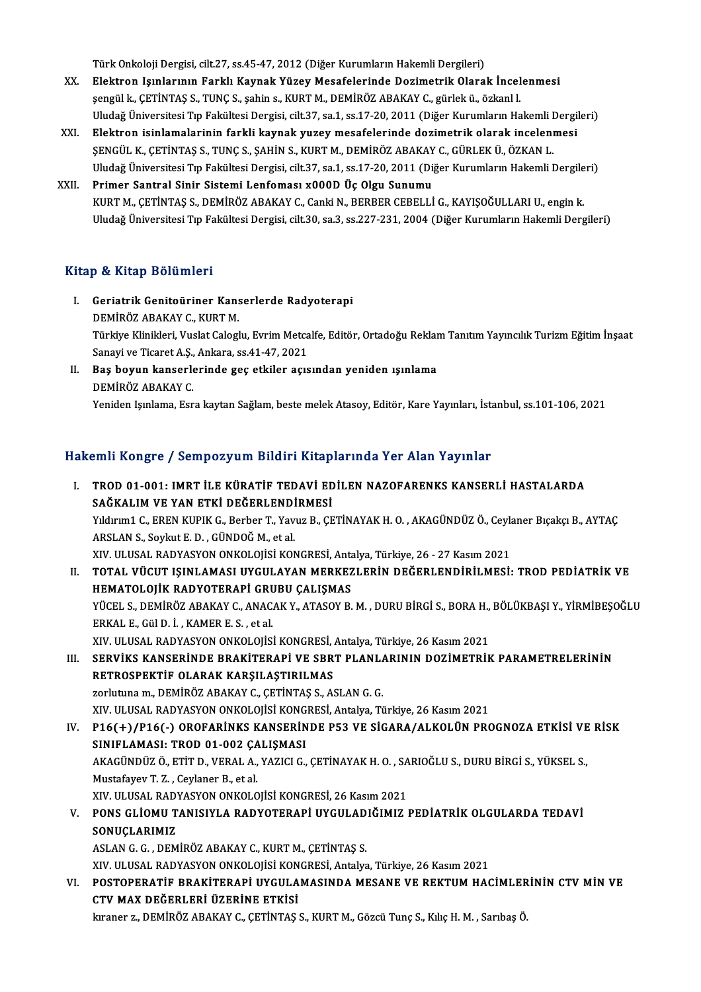Türk Onkoloji Dergisi, cilt.27, ss.45-47, 2012 (Diğer Kurumların Hakemli Dergileri)

- XX. Elektron Işınlarının Farklı Kaynak YüzeyMesafelerinde Dozimetrik Olarak İncelenmesi şengülk.,ÇETİNTAŞ S.,TUNÇS., şahins.,KURTM.,DEMİRÖZABAKAYC.,gürlekü.,özkanl l. Uludağ Üniversitesi Tıp Fakültesi Dergisi, cilt.37, sa.1, ss.17-20, 2011 (Diğer Kurumların Hakemli Dergileri)
- XXI. Elektron isinlamalarinin farkli kaynak yuzeymesafelerinde dozimetrik olarak incelenmesi Uludağ Üniversitesi Tıp Fakültesi Dergisi, cilt.37, sa.1, ss.17-20, 2011 (Diğer Kurumların Hakemli I<br>Elektron isinlamalarinin farkli kaynak yuzey mesafelerinde dozimetrik olarak inceleni<br>ŞENGÜL K., ÇETİNTAŞ S., TUNÇ S., ŞA Uludağ Üniversitesi Tıp Fakültesi Dergisi, cilt.37, sa.1, ss.17-20, 2011 (Diğer Kurumların Hakemli Dergileri)<br>Primer Santral Sinir Sistemi Lenfoması x000D Üç Olgu Sunumu SENGÜL K., ÇETİNTAŞ S., TUNÇ S., ŞAHİN S., KURT M., DEMİRÖZ ABAKAY<br>Uludağ Üniversitesi Tıp Fakültesi Dergisi, cilt.37, sa.1, ss.17-20, 2011 (Di<br>XXII. Primer Santral Sinir Sistemi Lenfoması x000D Üç Olgu Sunumu<br>KURT M. CETİ
- KURTM., ÇETİNTAŞ S., DEMİRÖZ ABAKAY C., Canki N., BERBER CEBELLİ G., KAYIŞOĞULLARI U., engin k. Uludağ Üniversitesi Tıp Fakültesi Dergisi, cilt.30, sa.3, ss.227-231, 2004 (Diğer Kurumların Hakemli Dergileri)

# Kitap & Kitap Bölümleri

- Itap & Kitap Bölümleri<br>I. Geriatrik Genitoüriner Kanserlerde Radyoterapi<br>DEMIRÖZ ARAKAY G. KURT M p & KRup Bordmer<br>Geriatrik Genitoüriner Kans<br>DEMİRÖZ ABAKAY C., KURT M.<br>Türkiye Klinikleri Muslet Gelecl Geriatrik Genitoüriner Kanserlerde Radyoterapi<br>DEMİRÖZ ABAKAY C., KURT M.<br>Türkiye Klinikleri, Vuslat Caloglu, Evrim Metcalfe, Editör, Ortadoğu Reklam Tanıtım Yayıncılık Turizm Eğitim İnşaat DEMİRÖZ ABAKAY C., KURT M.<br>Türkiye Klinikleri, Vuslat Caloglu, Evrim Metcalfe, Editör, Ortadoğu Reklaı<br>Sanayi ve Ticaret A.Ş., Ankara, ss.41-47, 2021<br>II. Bas boyun kanserlerinde gec etkiler acısından yeniden ısınlama Türkiye Klinikleri, Vuslat Caloglu, Evrim Metcalfe, Editör, Ortadoğu Reklar<br>Sanayi ve Ticaret A.Ş., Ankara, ss.41-47, 2021<br>II. Baş boyun kanserlerinde geç etkiler açısından yeniden ışınlama<br>DEMİPÖZ ARAKAN C
- DEMİRÖZ ABAKAY C. Yeniden Işınlama, Esra kaytan Sağlam, beste melek Atasoy, Editör, Kare Yayınları, İstanbul, ss.101-106, 2021

# Hakemli Kongre / Sempozyum Bildiri Kitaplarında Yer Alan Yayınlar

akemli Kongre / Sempozyum Bildiri Kitaplarında Yer Alan Yayınlar<br>I. TROD 01-001: IMRT İLE KÜRATİF TEDAVİ EDİLEN NAZOFARENKS KANSERLİ HASTALARDA<br>SAĞKALIM VE YAN ETKİ DEĞERLENDİRMESİ SAHI HULGIC / DEMPUZJ'UM DINIHI HINP<br>TROD 01-001: IMRT İLE KÜRATİF TEDAVİ ED<br>SAĞKALIM VE YAN ETKİ DEĞERLENDİRMESİ<br>Viduum1 C. EREN KURIK C. Borbor T. Young B. CE TROD 01-001: IMRT İLE KÜRATİF TEDAVİ EDİLEN NAZOFARENKS KANSERLİ HASTALARDA<br>SAĞKALIM VE YAN ETKİ DEĞERLENDİRMESİ<br>Yıldırım1 C., EREN KUPIK G., Berber T., Yavuz B., ÇETİNAYAK H. O. , AKAGÜNDÜZ Ö., Ceylaner Bıçakçı B., AYTAÇ<br> SAĞKALIM VE YAN ETKİ DEĞERLENDİ<br>Yıldırım1 C., EREN KUPIK G., Berber T., Yav<br>ARSLAN S., Soykut E. D. , GÜNDOĞ M., et al.<br>YIV. III USAL RADYASYON ONKOLOUSİ KON Yıldırım1 C., EREN KUPIK G., Berber T., Yavuz B., ÇETİNAYAK H. O. , AKAGÜNDÜZ Ö., Ceyk<br>ARSLAN S., Soykut E. D. , GÜNDOĞ M., et al.<br>XIV. ULUSAL RADYASYON ONKOLOJİSİ KONGRESİ, Antalya, Türkiye, 26 - 27 Kasım 2021<br>TOTAL VÜCUT I . TOTAL VÜCUT IŞINLAMASI UYGULAYAN MERKEZLERİN DEĞERLENDİRİLMESİ: TROD PEDİATRİK VE XIV. ULUSAL RADYASYON ONKOLOJİSİ KONGRESİ, Anta<br>TOTAL VÜCUT IŞINLAMASI UYGULAYAN MERKEZ<br>HEMATOLOJİK RADYOTERAPİ GRUBU ÇALIŞMAS<br>VÜCEL S. DEMİRÖZ ARAKAY G. ANAGAK Y. ATASOY B. TOTAL VÜCUT IŞINLAMASI UYGULAYAN MERKEZLERİN DEĞERLENDİRİLMESİ: TROD PEDİATRİK VE<br>HEMATOLOJİK RADYOTERAPİ GRUBU ÇALIŞMAS<br>YÜCEL S., DEMİRÖZ ABAKAY C., ANACAK Y., ATASOY B. M. , DURU BİRGİ S., BORA H., BÖLÜKBAŞI Y., YİRMİBEŞ H<mark>EMATOLOJİK RADYOTERAPİ GRU</mark><br>YÜCEL S., DEMİRÖZ ABAKAY C., ANAC.<br>ERKAL E., Gül D. İ. , KAMER E. S. , et al.<br>YIV. III USAL BADYASYON ONKOLOJİS. YÜCEL S., DEMİRÖZ ABAKAY C., ANACAK Y., ATASOY B. M. , DURU BİRGİ S., BORA H.,<br>ERKAL E., Gül D. İ. , KAMER E. S. , et al.<br>XIV. ULUSAL RADYASYON ONKOLOJİSİ KONGRESİ, Antalya, Türkiye, 26 Kasım 2021<br>SERVİKS KANSERİNDE PRAKİT ERKAL E., Gül D. İ. , KAMER E. S. , et al.<br>XIV. ULUSAL RADYASYON ONKOLOJİSİ KONGRESİ, Antalya, Türkiye, 26 Kasım 2021<br>III. SERVİKS KANSERİNDE BRAKİTERAPİ VE SBRT PLANLARININ DOZİMETRİK PARAMETRELERİNİN RETROSPEKTİF OLARAK KARŞILAŞTIRILMAS zorlutuna m., DEMİRÖZ ABAKAY C., ÇETİNTAŞ S., ASLAN G. G. XIV.ULUSALRADYASYONONKOLOJİSİKONGRESİ,Antalya,Türkiye,26Kasım2021 Zorlutuna m., DEMİRÖZ ABAKAY C., ÇETİNTAŞ S., ASLAN G. G.<br>IV. ULUSAL RADYASYON ONKOLOJİSİ KONGRESİ, Antalya, Türkiye, 26 Kasım 2021<br>IV. P16(+)/P16(-) OROFARİNKS KANSERİNDE P53 VE SİGARA/ALKOLÜN PROGNOZA ETKİSİ VE RİSK<br>SINI XIV. ULUSAL RADYASYON ONKOLOJİSİ KONG<br>P16(+)/P16(-) OROFARİNKS KANSERİN<br>SINIFLAMASI: TROD 01-002 ÇALIŞMASI<br>AKAÇİNDÜZÖ ETİT D. VERAL A. YAZIÇLE P16(+)/P16(-) OROFARİNKS KANSERİNDE P53 VE SİGARA/ALKOLÜN PROGNOZA ETKİSİ VE<br>SINIFLAMASI: TROD 01-002 ÇALIŞMASI<br>AKAGÜNDÜZ Ö., ETİT D., VERAL A., YAZICI G., ÇETİNAYAK H. O. , SARIOĞLU S., DURU BİRGİ S., YÜKSEL S.,<br>Mustafayo SINIFLAMASI: TROD 01-002 ÇALIŞMASI<br>AKAGÜNDÜZ Ö., ETİT D., VERAL A., YAZICI G., ÇETİNAYAK H. O. , SA<br>Mustafayev T. Z. , Ceylaner B., et al.<br>XIV. ULUSAL RADYASYON ONKOLOJİSİ KONGRESİ, 26 Kasım 2021 AKAGÜNDÜZ Ö., ETİT D., VERAL A., YAZICI G., ÇETİNAYAK H. O., SARIOĞLU S., DURU BİRGİ S., YÜKSEL S., V. PONS GLİOMU TANISIYLA RADYOTERAPİ UYGULADIĞIMIZ PEDİATRİK OLGULARDA TEDAVİ SONUÇLARIMIZ ASLANG.G. ,DEMİRÖZABAKAYC.,KURTM.,ÇETİNTAŞ S. XIV.ULUSALRADYASYONONKOLOJİSİKONGRESİ,Antalya,Türkiye,26Kasım2021 ASLAN G. G. , DEMİRÖZ ABAKAY C., KURT M., ÇETİNTAŞ S.<br>XIV. ULUSAL RADYASYON ONKOLOJİSİ KONGRESİ, Antalya, Türkiye, 26 Kasım 2021<br>VI. POSTOPERATİF BRAKİTERAPİ UYGULAMASINDA MESANE VE REKTUM HACİMLERİNİN CTV MİN VE<br>CTV M XIV. ULUSAL RADYASYON ONKOLOJİSİ KON<br>POSTOPERATİF BRAKİTERAPİ UYGULA<br>CTV MAX DEĞERLERİ ÜZERİNE ETKİSİ<br>İssance 7, DEMİRÖZ ARAKAY G. GETİNTAS POSTOPERATİF BRAKİTERAPİ UYGULAMASINDA MESANE VE REKTUM HACİMLER<br>CTV MAX DEĞERLERİ ÜZERİNE ETKİSİ<br>kıraner z., DEMİRÖZ ABAKAY C., ÇETİNTAŞ S., KURT M., Gözcü Tunç S., Kılıç H. M. , Sarıbaş Ö.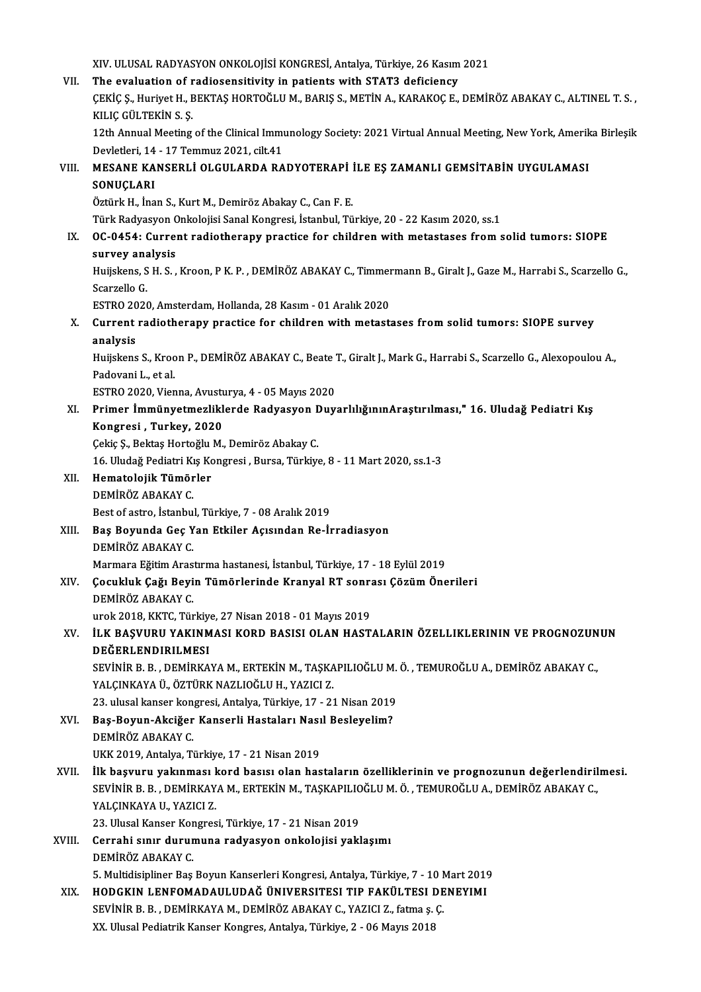XIV. ULUSAL RADYASYON ONKOLOJİSİ KONGRESİ, Antalya, Türkiye, 26 Kasım 2021<br>The evaluation of radiosensitivity in patients with STAT3 defisionsy XIV. ULUSAL RADYASYON ONKOLOJISI KONGRESI, Antalya, Türkiye, 26 Kasım<br>VII. The evaluation of radiosensitivity in patients with STAT3 deficiency<br>CEVIC S. Huriyat H. PEVTAS HOPTOČLUM, PARIS S. METIN A. KARAKOC E XIV. ULUSAL RADYASYON ONKOLOJİSİ KONGRESİ, Antalya, Türkiye, 26 Kasım 2021<br>The evaluation of radiosensitivity in patients with STAT3 deficiency<br>ÇEKİÇ Ş., Huriyet H., BEKTAŞ HORTOĞLU M., BARIŞ S., METİN A., KARAKOÇ E., DEMİ The evaluation of r<br>ÇEKİÇ Ş., Huriyet H., E<br>KILIÇ GÜLTEKİN S. Ş.<br>12th Annual Mesting ÇEKİÇ Ş., Huriyet H., BEKTAŞ HORTOĞLU M., BARIŞ S., METİN A., KARAKOÇ E., DEMİRÖZ ABAKAY C., ALTINEL T. S. ,<br>KILIÇ GÜLTEKİN S. Ş.<br>12th Annual Meeting of the Clinical Immunology Society: 2021 Virtual Annual Meeting, New Yor KILIÇ GÜLTEKİN S. Ş.<br>12th Annual Meeting of the Clinical Immu<br>Devletleri, 14 - 17 Temmuz 2021, cilt.41<br>MESANE KANSERLİ OLCULARDA RA 12th Annual Meeting of the Clinical Immunology Society: 2021 Virtual Annual Meeting, New York, Amerik<br>Devletleri, 14 - 17 Temmuz 2021, cilt.41<br>VIII. MESANE KANSERLİ OLGULARDA RADYOTERAPİ İLE EŞ ZAMANLI GEMSİTABİN UYGULAMAS Devletleri, 14<br>MESANE KA<br>SONUÇLARI<br>Öztürk Halina MESANE KANSERLİ OLGULARDA RADYOTERAPİ İ<br>SONUÇLARI<br>Öztürk H., İnan S., Kurt M., Demiröz Abakay C., Can F. E.<br>Türk Badyasyan Onkolojisi Sanal Kanstası, İstanbul Tü SONUÇLARI<br>Öztürk H., İnan S., Kurt M., Demiröz Abakay C., Can F. E.<br>Türk Radyasyon Onkolojisi Sanal Kongresi, İstanbul, Türkiye, 20 - 22 Kasım 2020, ss.1 Öztürk H., İnan S., Kurt M., Demiröz Abakay C., Can F. E.<br>Türk Radyasyon Onkolojisi Sanal Kongresi, İstanbul, Türkiye, 20 - 22 Kasım 2020, ss.1<br>IX. 0C-0454: Current radiotherapy practice for children with metastases from s Türk Radyasyon C<br>OC-0454: Curre:<br>survey analysis<br><sup>Hujiskons S H S</sup> OC-0454: Current radiotherapy practice for children with metastases from solid tumors: SIOPE<br>survey analysis<br>Huijskens, S H. S. , Kroon, P K. P. , DEMİRÖZ ABAKAY C., Timmermann B., Giralt J., Gaze M., Harrabi S., Scarzello <mark>survey an</mark>a<br>Huijskens, S<br>Scarzello G.<br>ESTRO 2020 Huijskens, S H. S. , Kroon, P K. P. , DEMİRÖZ ABAKAY C., Timmer<br>Scarzello G.<br>ESTRO 2020, Amsterdam, Hollanda, 28 Kasım - 01 Aralık 2020<br>Current radiotherany prestise for shildren with metest: Scarzello G.<br>ESTRO 2020, Amsterdam, Hollanda, 28 Kasım - 01 Aralık 2020<br>X. Current radiotherapy practice for children with metastases from solid tumors: SIOPE survey<br>analysis ESTRO 2020, Amsterdam, Hollanda, 28 Kasım - 01 Aralık 2020 Current radiotherapy practice for children with metastases from solid tumors: SIOPE survey<br>analysis<br>Huijskens S., Kroon P., DEMİRÖZ ABAKAY C., Beate T., Giralt J., Mark G., Harrabi S., Scarzello G., Alexopoulou A.,<br>Pedevan a<mark>nalysis</mark><br>Huijskens S., Kroc<br>Padovani L., et al.<br>ESTRO 2020 *Vie*r Huijskens S., Kroon P., DEMİRÖZ ABAKAY C., Beate 7<br>Padovani L., et al.<br>ESTRO 2020, Vienna, Avusturya, 4 - 05 Mayıs 2020<br>Primar İmmünyatmazliklarda Badyasyan Duy Padovani L., et al.<br>ESTRO 2020, Vienna, Avusturya, 4 - 05 Mayıs 2020<br>XI. Primer İmmünyetmezliklerde Radyasyon DuyarlılığınınAraştırılması," 16. Uludağ Pediatri Kış<br>Kongresi , Turkey, 2020 ESTRO 2020, Vienna, Avust<br>Primer İmmünyetmezlikl<br>Kongresi , Turkey, 2020<br>Cekiş S. Bektas Hortoğlu M Çekiç Ş., Bektaş Hortoğlu M., Demiröz Abakay C. Kongresi , Turkey, 2020<br>Çekiç Ş., Bektaş Hortoğlu M., Demiröz Abakay C.<br>16. Uludağ Pediatri Kış Kongresi , Bursa, Türkiye, 8 - 11 Mart 2020, ss.1-3<br>Hamatalajik Tümörler XII. Hematolojik Tümörler<br>DEMİRÖZ ABAKAY C. 16. Uludağ Pediatri Kı<br>Hematolojik Tümör<br>DEMİRÖZ ABAKAY C.<br>Pest of astre, İstanbu Best of astro, İstanbul, Türkiye, 7 - 08 Aralık 2019 DEMİRÖZ ABAKAY C.<br>Best of astro, İstanbul, Türkiye, 7 - 08 Aralık 2019<br>XIII. Baş Boyunda Geç Yan Etkiler Açısından Re-İrradiasyon<br>DEMİRÖZ ARAKAY C Best of astro, İstanbu<br><mark>Baş Boyunda Geç Y</mark><br>DEMİRÖZ ABAKAY C.<br>Marmara Eğitim Aras Baş Boyunda Geç Yan Etkiler Açısından Re-İrradiasyon<br>DEMİRÖZ ABAKAY C.<br>Marmara Eğitim Arastırma hastanesi, İstanbul, Türkiye, 17 - 18 Eylül 2019<br>Cosukluk Coğu Boyin Tümörlerinde Kranyal PT senresı Cöşüm Öne DEMİRÖZ ABAKAY C.<br>Marmara Eğitim Arastırma hastanesi, İstanbul, Türkiye, 17 - 18 Eylül 2019<br>XIV. Çocukluk Çağı Beyin Tümörlerinde Kranyal RT sonrası Çözüm Önerileri<br>DEMİRÖZ ABAKAY C. Marmara Eğitim Aras<br>Çocukluk Çağı Beyi<br>DEMİRÖZ ABAKAY C.<br><sup>1110</sup> K<sup>VTC</sup> Tür Cocukluk Çağı Beyin Tümörlerinde Kranyal RT sonr:<br>DEMİRÖZ ABAKAY C.<br>urok 2018, KKTC, Türkiye, 27 Nisan 2018 - 01 Mayıs 2019<br>U.K.BASVUBU YAKINMASI KORD BASISLOLAN HAST DEMİRÖZ ABAKAY C.<br>urok 2018, KKTC, Türkiye, 27 Nisan 2018 - 01 Mayıs 2019<br>XV. İLK BAŞVURU YAKINMASI KORD BASISI OLAN HASTALARIN ÖZELLIKLERININ VE PROGNOZUNUN<br>DEĞERLENDIRILMESI urok 2018, KKTC, Türkiye<br><mark>ilk BAŞVURU YAKINM</mark><br>DEĞERLENDIRILMESI<br>SEVİNİR B. B. DEMİRKA İLK BAŞVURU YAKINMASI KORD BASISI OLAN HASTALARIN ÖZELLIKLERININ VE PROGNOZUN<br>DEĞERLENDIRILMESI<br>SEVİNİR B. B. , DEMİRKAYA M., ERTEKİN M., TAŞKAPILIOĞLU M. Ö. , TEMUROĞLU A., DEMİRÖZ ABAKAY C.,<br>YALCINKAYA Ü. ÖZTÜPK NAZI IOĞ DEĞERLENDIRILMESI<br>SEVİNİR B. B. , DEMİRKAYA M., ERTEKİN M., TAŞKAPILIOĞLU M. Ö. , TEMUROĞLU A., DEMİRÖZ ABAKAY C.,<br>YALÇINKAYA Ü., ÖZTÜRK NAZLIOĞLU H., YAZICI Z. 23. ulusal kanser kongresi, Antalya, Türkiye, 17 - 21 Nisan 2019 XVI. Baş-Boyun-Akciğer Kanserli Hastaları Nasıl Besleyelim? DEMİRÖZ ABAKAY C. UKK2019,Antalya,Türkiye,17 -21Nisan2019 DEMİRÖZ ABAKAY C.<br>UKK 2019, Antalya, Türkiye, 17 - 21 Nisan 2019<br>XVII. İlk başvuru yakınması kord basısı olan hastaların özelliklerinin ve prognozunun değerlendirilmesi.<br>SEVİNİR R.R. DEMİRYAYA M. ERTEKİN M.TASKARILIQĞLILM UKK 2019, Antalya, Türkiye, 17 - 21 Nisan 2019<br>İlk başvuru yakınması kord basısı olan hastaların özelliklerinin ve prognozunun değerlendiril<br>SEVİNİR B. B. , DEMİRKAYA M., ERTEKİN M., TAŞKAPILIOĞLU M. Ö. , TEMUROĞLU A., DEM İlk başvuru yakınması l<br>SEVİNİR B. B. , DEMİRKAY<br>YALÇINKAYA U., YAZICI Z.<br>22. Illusal Kansar Kansrea SEVİNİR B. B. , DEMİRKAYA M., ERTEKİN M., TAŞKAPILIOĞLU M. Ö. , TEMUROĞLU A., DEMİRÖZ ABAKAY C.,<br>YALÇINKAYA U., YAZICI Z.<br>23. Ulusal Kanser Kongresi, Türkiye, 17 - 21 Nisan 2019 XVIII. Cerrahi sınır durumuna radyasyon onkolojisi yaklaşımı DEMİRÖZ ABAKAY C. Cerrahi sınır durumuna radyasyon onkolojisi yaklaşımı<br>DEMİRÖZ ABAKAY C.<br>5. Multidisipliner Baş Boyun Kanserleri Kongresi, Antalya, Türkiye, 7 - 10 Mart 2019<br>HODCKIN I ENEOMADAJI JIDAĞ ÜNIVERSITESI TIR FAKÜLTESI DENEVIMI XIX. HODGKIN LENFOMADAULUDAĞ ÜNIVERSITESI TIP FAKÜLTESI DENEYIMI 5. Multidisipliner Baş Boyun Kanserleri Kongresi, Antalya, Türkiye, 7 - 10 M<br>HODGKIN LENFOMADAULUDAĞ ÜNIVERSITESI TIP FAKÜLTESI DE<br>SEVİNİR B. B. , DEMİRKAYA M., DEMİRÖZ ABAKAY C., YAZICI Z., fatma ş. Ç.<br>YY Ulucal Bodistrik XX. Ulusal Pediatrik Kanser Kongres, Antalya, Türkiye, 2 - 06 Mayıs 2018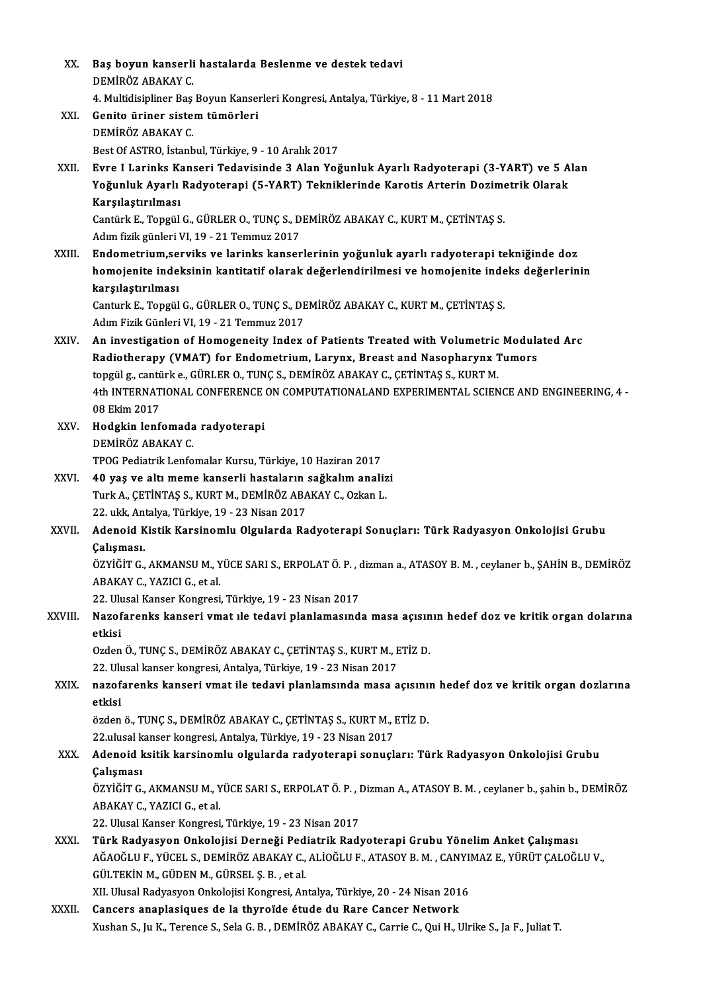| XX.     | Baş boyun kanserli hastalarda Beslenme ve destek tedavi<br>DEMİRÖZ ABAKAY C                                                                                                     |
|---------|---------------------------------------------------------------------------------------------------------------------------------------------------------------------------------|
|         | 4. Multidisipliner Baş Boyun Kanserleri Kongresi, Antalya, Türkiye, 8 - 11 Mart 2018                                                                                            |
| XXI.    | Genito üriner sistem tümörleri                                                                                                                                                  |
|         | DEMİRÖZ ABAKAY C                                                                                                                                                                |
|         | Best Of ASTRO, İstanbul, Türkiye, 9 - 10 Aralık 2017                                                                                                                            |
| XXII.   | Evre I Larinks Kanseri Tedavisinde 3 Alan Yoğunluk Ayarlı Radyoterapi (3-YART) ve 5 Alan                                                                                        |
|         | Yoğunluk Ayarlı Radyoterapi (5-YART) Tekniklerinde Karotis Arterin Dozimetrik Olarak<br>Karşılaştırılması                                                                       |
|         | Cantürk E., Topgül G., GÜRLER O., TUNÇ S., DEMİRÖZ ABAKAY C., KURT M., ÇETİNTAŞ S.                                                                                              |
|         | Adım fizik günleri VI, 19 - 21 Temmuz 2017                                                                                                                                      |
| XXIII.  | Endometrium, serviks ve larinks kanserlerinin yoğunluk ayarlı radyoterapi tekniğinde doz                                                                                        |
|         | homojenite indeksinin kantitatif olarak değerlendirilmesi ve homojenite indeks değerlerinin                                                                                     |
|         | karşılaştırılması                                                                                                                                                               |
|         | Canturk E., Topgül G., GÜRLER O., TUNÇ S., DEMİRÖZ ABAKAY C., KURT M., ÇETİNTAŞ S.                                                                                              |
|         | Adım Fizik Günleri VI, 19 - 21 Temmuz 2017                                                                                                                                      |
| XXIV.   | An investigation of Homogeneity Index of Patients Treated with Volumetric Modulated Arc                                                                                         |
|         | Radiotherapy (VMAT) for Endometrium, Larynx, Breast and Nasopharynx Tumors                                                                                                      |
|         | topgül g., cantürk e., GÜRLER O., TUNÇ S., DEMİRÖZ ABAKAY C., ÇETİNTAŞ S., KURT M.                                                                                              |
|         | 4th INTERNATIONAL CONFERENCE ON COMPUTATIONALAND EXPERIMENTAL SCIENCE AND ENGINEERING, 4 -                                                                                      |
|         | 08 Ekim 2017                                                                                                                                                                    |
| XXV.    | Hodgkin lenfomada radyoterapi                                                                                                                                                   |
|         | DEMİRÖZ ABAKAY C                                                                                                                                                                |
|         | TPOG Pediatrik Lenfomalar Kursu, Türkiye, 10 Haziran 2017                                                                                                                       |
| XXVI.   | 40 yaş ve altı meme kanserli hastaların sağkalım analizi                                                                                                                        |
|         | Turk A., ÇETİNTAŞ S., KURT M., DEMİRÖZ ABAKAY C., Ozkan L.                                                                                                                      |
|         | 22. ukk, Antalya, Türkiye, 19 - 23 Nisan 2017                                                                                                                                   |
| XXVII.  | Adenoid Kistik Karsinomlu Olgularda Radyoterapi Sonuçları: Türk Radyasyon Onkolojisi Grubu                                                                                      |
|         | Calismasi.                                                                                                                                                                      |
|         | ÖZYİĞİT G., AKMANSU M., YÜCE SARI S., ERPOLAT Ö. P., dizman a., ATASOY B. M., ceylaner b., ŞAHİN B., DEMİRÖZ                                                                    |
|         | ABAKAY C., YAZICI G., et al.                                                                                                                                                    |
|         | 22. Ulusal Kanser Kongresi, Türkiye, 19 - 23 Nisan 2017                                                                                                                         |
| XXVIII. | Nazofarenks kanseri vmat ile tedavi planlamasında masa açısının hedef doz ve kritik organ dolarına<br>etkisi                                                                    |
|         | Ozden Ö., TUNÇ S., DEMİRÖZ ABAKAY C., ÇETİNTAŞ S., KURT M., ETİZ D.                                                                                                             |
|         | 22. Ulusal kanser kongresi, Antalya, Türkiye, 19 - 23 Nisan 2017                                                                                                                |
| XXIX.   | nazofarenks kanseri vmat ile tedavi planlamsında masa açısının hedef doz ve kritik organ dozlarına                                                                              |
|         | etkisi                                                                                                                                                                          |
|         | özden ö., TUNÇ S., DEMİRÖZ ABAKAY C., ÇETİNTAŞ S., KURT M., ETİZ D.                                                                                                             |
|         | 22 ulusal kanser kongresi, Antalya, Türkiye, 19 - 23 Nisan 2017                                                                                                                 |
| XXX.    | Adenoid ksitik karsinomlu olgularda radyoterapi sonuçları: Türk Radyasyon Onkolojisi Grubu                                                                                      |
|         | Çalışması                                                                                                                                                                       |
|         | ÖZYİĞİT G., AKMANSU M., YÜCE SARI S., ERPOLAT Ö. P., Dizman A., ATASOY B. M., ceylaner b., şahin b., DEMİRÖZ                                                                    |
|         | ABAKAY C., YAZICI G., et al.                                                                                                                                                    |
|         | 22. Ulusal Kanser Kongresi, Türkiye, 19 - 23 Nisan 2017                                                                                                                         |
| XXXI.   | Türk Radyasyon Onkolojisi Derneği Pediatrik Radyoterapi Grubu Yönelim Anket Çalışması                                                                                           |
|         | AĞAOĞLU F., YÜCEL S., DEMIRÖZ ABAKAY C., ALIOĞLU F., ATASOY B. M. , CANYIMAZ E., YÜRÜT ÇALOĞLU V.,                                                                              |
|         | GÜLTEKİN M., GÜDEN M., GÜRSEL Ş. B., et al.                                                                                                                                     |
|         | XII. Ulusal Radyasyon Onkolojisi Kongresi, Antalya, Türkiye, 20 - 24 Nisan 2016                                                                                                 |
| XXXII.  | Cancers anaplasiques de la thyroïde étude du Rare Cancer Network<br>Xushan S., Ju K., Terence S., Sela G. B., DEMİRÖZ ABAKAY C., Carrie C., Qui H., Ulrike S., Ja F., Juliat T. |
|         |                                                                                                                                                                                 |